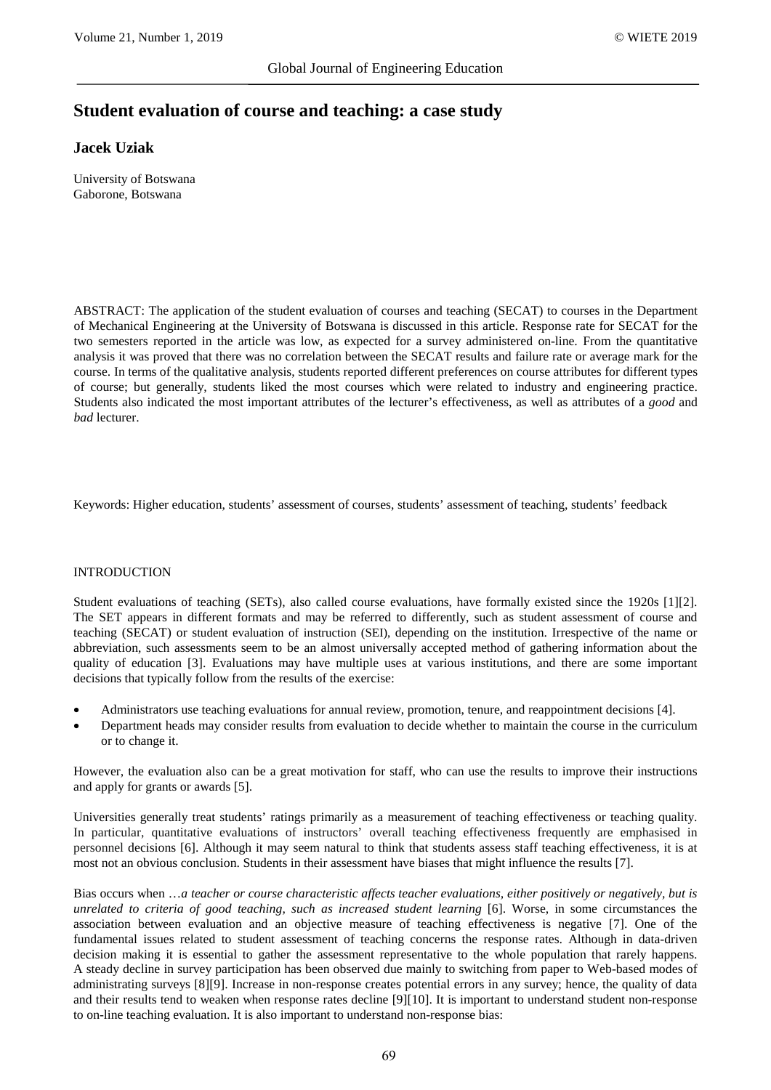# **Student evaluation of course and teaching: a case study**

# **Jacek Uziak**

University of Botswana Gaborone, Botswana

ABSTRACT: The application of the student evaluation of courses and teaching (SECAT) to courses in the Department of Mechanical Engineering at the University of Botswana is discussed in this article. Response rate for SECAT for the two semesters reported in the article was low, as expected for a survey administered on-line. From the quantitative analysis it was proved that there was no correlation between the SECAT results and failure rate or average mark for the course. In terms of the qualitative analysis, students reported different preferences on course attributes for different types of course; but generally, students liked the most courses which were related to industry and engineering practice. Students also indicated the most important attributes of the lecturer's effectiveness, as well as attributes of a *good* and *bad* lecturer.

Keywords: Higher education, students' assessment of courses, students' assessment of teaching, students' feedback

#### INTRODUCTION

Student evaluations of teaching (SETs), also called course evaluations, have formally existed since the 1920s [1][2]. The SET appears in different formats and may be referred to differently, such as student assessment of course and teaching (SECAT) or student evaluation of instruction (SEI), depending on the institution. Irrespective of the name or abbreviation, such assessments seem to be an almost universally accepted method of gathering information about the quality of education [3]. Evaluations may have multiple uses at various institutions, and there are some important decisions that typically follow from the results of the exercise:

- Administrators use teaching evaluations for annual review, promotion, tenure, and reappointment decisions [4].
- Department heads may consider results from evaluation to decide whether to maintain the course in the curriculum or to change it.

However, the evaluation also can be a great motivation for staff, who can use the results to improve their instructions and apply for grants or awards [5].

Universities generally treat students' ratings primarily as a measurement of teaching effectiveness or teaching quality. In particular, quantitative evaluations of instructors' overall teaching effectiveness frequently are emphasised in personnel decisions [6]. Although it may seem natural to think that students assess staff teaching effectiveness, it is at most not an obvious conclusion. Students in their assessment have biases that might influence the results [7].

Bias occurs when …*a teacher or course characteristic affects teacher evaluations, either positively or negatively, but is unrelated to criteria of good teaching, such as increased student learning* [6]. Worse, in some circumstances the association between evaluation and an objective measure of teaching effectiveness is negative [7]. One of the fundamental issues related to student assessment of teaching concerns the response rates. Although in data-driven decision making it is essential to gather the assessment representative to the whole population that rarely happens. A steady decline in survey participation has been observed due mainly to switching from paper to Web-based modes of administrating surveys [8][9]. Increase in non-response creates potential errors in any survey; hence, the quality of data and their results tend to weaken when response rates decline [9][10]. It is important to understand student non-response to on-line teaching evaluation. It is also important to understand non-response bias: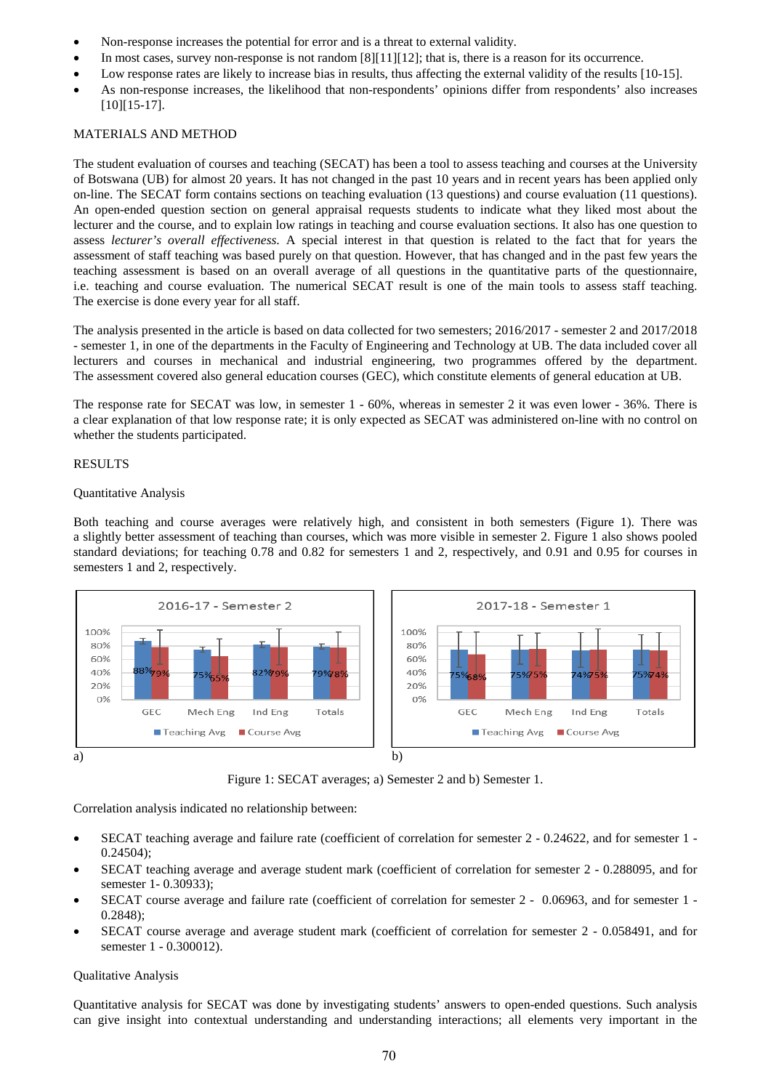- Non-response increases the potential for error and is a threat to external validity.
- In most cases, survey non-response is not random [8][11][12]; that is, there is a reason for its occurrence.
- Low response rates are likely to increase bias in results, thus affecting the external validity of the results [10-15].
- As non-response increases, the likelihood that non-respondents' opinions differ from respondents' also increases [10][15-17].

## MATERIALS AND METHOD

The student evaluation of courses and teaching (SECAT) has been a tool to assess teaching and courses at the University of Botswana (UB) for almost 20 years. It has not changed in the past 10 years and in recent years has been applied only on-line. The SECAT form contains sections on teaching evaluation (13 questions) and course evaluation (11 questions). An open-ended question section on general appraisal requests students to indicate what they liked most about the lecturer and the course, and to explain low ratings in teaching and course evaluation sections. It also has one question to assess *lecturer's overall effectiveness*. A special interest in that question is related to the fact that for years the assessment of staff teaching was based purely on that question. However, that has changed and in the past few years the teaching assessment is based on an overall average of all questions in the quantitative parts of the questionnaire, i.e. teaching and course evaluation. The numerical SECAT result is one of the main tools to assess staff teaching. The exercise is done every year for all staff.

The analysis presented in the article is based on data collected for two semesters; 2016/2017 - semester 2 and 2017/2018 - semester 1, in one of the departments in the Faculty of Engineering and Technology at UB. The data included cover all lecturers and courses in mechanical and industrial engineering, two programmes offered by the department. The assessment covered also general education courses (GEC), which constitute elements of general education at UB.

The response rate for SECAT was low, in semester 1 - 60%, whereas in semester 2 it was even lower - 36%. There is a clear explanation of that low response rate; it is only expected as SECAT was administered on-line with no control on whether the students participated.

# RESULTS

### Quantitative Analysis

Both teaching and course averages were relatively high, and consistent in both semesters (Figure 1). There was a slightly better assessment of teaching than courses, which was more visible in semester 2. Figure 1 also shows pooled standard deviations; for teaching 0.78 and 0.82 for semesters 1 and 2, respectively, and 0.91 and 0.95 for courses in semesters 1 and 2, respectively.



Figure 1: SECAT averages; a) Semester 2 and b) Semester 1.

Correlation analysis indicated no relationship between:

- SECAT teaching average and failure rate (coefficient of correlation for semester 2 0.24622, and for semester 1 0.24504);
- SECAT teaching average and average student mark (coefficient of correlation for semester 2 0.288095, and for semester 1- 0.30933);
- SECAT course average and failure rate (coefficient of correlation for semester 2 0.06963, and for semester 1 0.2848);
- SECAT course average and average student mark (coefficient of correlation for semester 2 0.058491, and for semester 1 - 0.300012).

# Qualitative Analysis

Quantitative analysis for SECAT was done by investigating students' answers to open-ended questions. Such analysis can give insight into contextual understanding and understanding interactions; all elements very important in the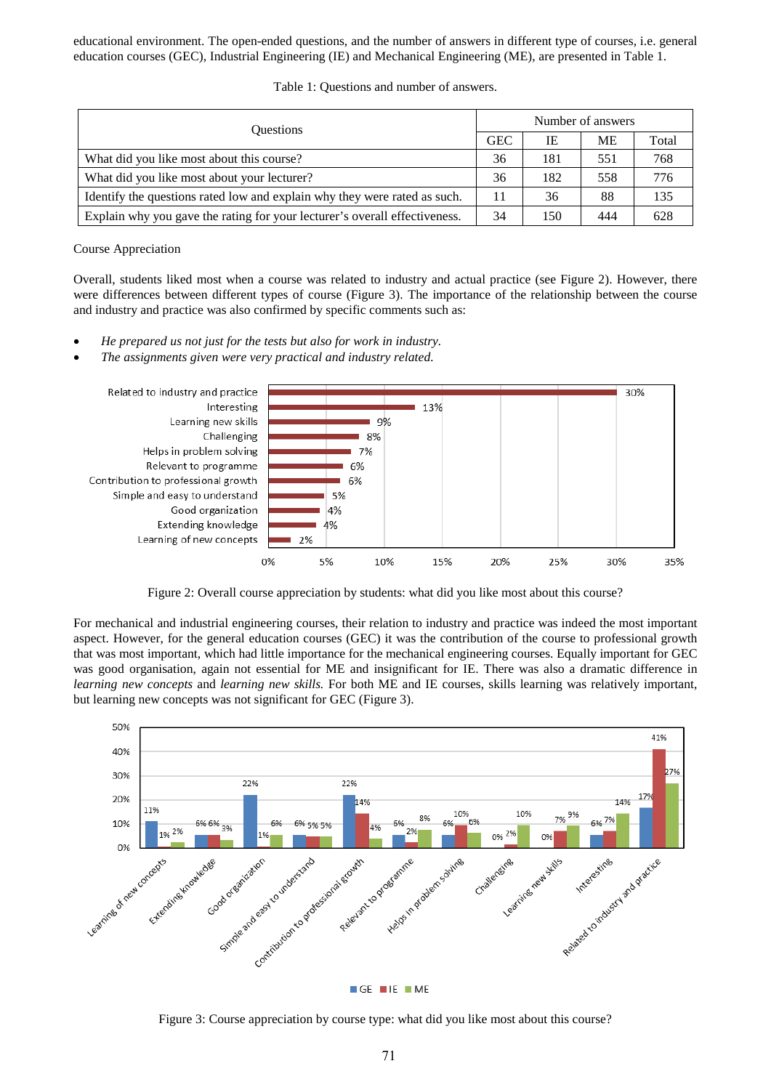educational environment. The open-ended questions, and the number of answers in different type of courses, i.e. general education courses (GEC), Industrial Engineering (IE) and Mechanical Engineering (ME), are presented in Table 1.

| <b>Ouestions</b>                                                           | Number of answers |     |           |       |
|----------------------------------------------------------------------------|-------------------|-----|-----------|-------|
|                                                                            | <b>GEC</b>        | IE  | <b>ME</b> | Total |
| What did you like most about this course?                                  | 36                | 181 | 551       | 768   |
| What did you like most about your lecturer?                                | 36                | 182 | 558       | 776   |
| Identify the questions rated low and explain why they were rated as such.  | 11                | 36  | 88        | 135   |
| Explain why you gave the rating for your lecturer's overall effectiveness. | 34                | 150 | 444       | 628   |

Table 1: Questions and number of answers.

Course Appreciation

Overall, students liked most when a course was related to industry and actual practice (see Figure 2). However, there were differences between different types of course (Figure 3). The importance of the relationship between the course and industry and practice was also confirmed by specific comments such as:

- *He prepared us not just for the tests but also for work in industry.*
- *The assignments given were very practical and industry related.*



Figure 2: Overall course appreciation by students: what did you like most about this course?

For mechanical and industrial engineering courses, their relation to industry and practice was indeed the most important aspect. However, for the general education courses (GEC) it was the contribution of the course to professional growth that was most important, which had little importance for the mechanical engineering courses. Equally important for GEC was good organisation, again not essential for ME and insignificant for IE. There was also a dramatic difference in *learning new concepts* and *learning new skills.* For both ME and IE courses, skills learning was relatively important, but learning new concepts was not significant for GEC (Figure 3).



Figure 3: Course appreciation by course type: what did you like most about this course?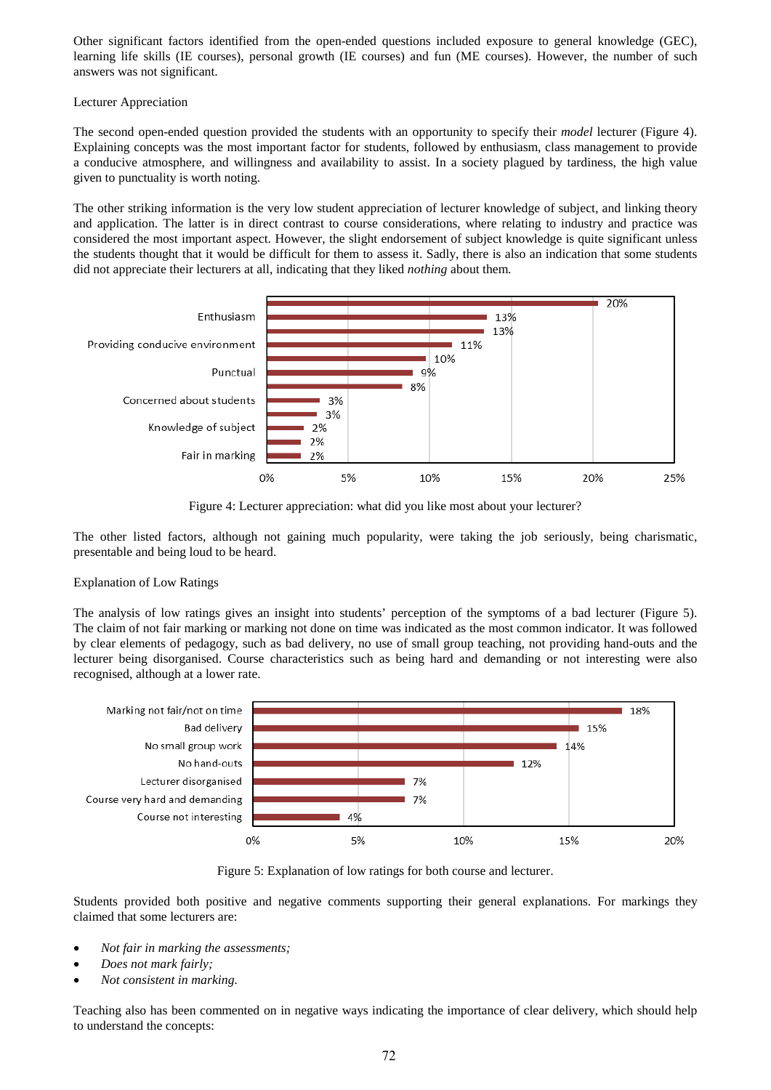Other significant factors identified from the open-ended questions included exposure to general knowledge (GEC), learning life skills (IE courses), personal growth (IE courses) and fun (ME courses). However, the number of such answers was not significant.

# Lecturer Appreciation

The second open-ended question provided the students with an opportunity to specify their *model* lecturer (Figure 4). Explaining concepts was the most important factor for students, followed by enthusiasm, class management to provide a conducive atmosphere, and willingness and availability to assist. In a society plagued by tardiness, the high value given to punctuality is worth noting.

The other striking information is the very low student appreciation of lecturer knowledge of subject, and linking theory and application. The latter is in direct contrast to course considerations, where relating to industry and practice was considered the most important aspect. However, the slight endorsement of subject knowledge is quite significant unless the students thought that it would be difficult for them to assess it. Sadly, there is also an indication that some students did not appreciate their lecturers at all, indicating that they liked *nothing* about them.



Figure 4: Lecturer appreciation: what did you like most about your lecturer?

The other listed factors, although not gaining much popularity, were taking the job seriously, being charismatic, presentable and being loud to be heard.

# Explanation of Low Ratings

The analysis of low ratings gives an insight into students' perception of the symptoms of a bad lecturer (Figure 5). The claim of not fair marking or marking not done on time was indicated as the most common indicator. It was followed by clear elements of pedagogy, such as bad delivery, no use of small group teaching, not providing hand-outs and the lecturer being disorganised. Course characteristics such as being hard and demanding or not interesting were also recognised, although at a lower rate.



Figure 5: Explanation of low ratings for both course and lecturer.

Students provided both positive and negative comments supporting their general explanations. For markings they claimed that some lecturers are:

- *Not fair in marking the assessments;*
- *Does not mark fairly;*
- *Not consistent in marking.*

Teaching also has been commented on in negative ways indicating the importance of clear delivery, which should help to understand the concepts: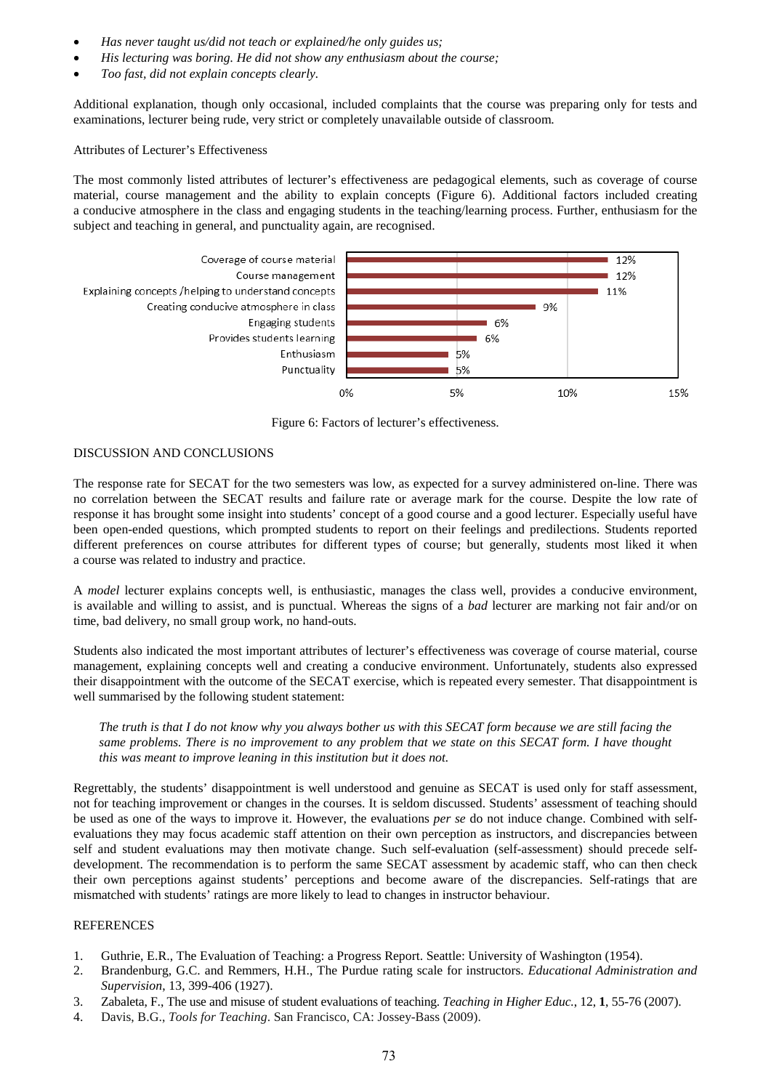- *Has never taught us/did not teach or explained/he only guides us;*
- *His lecturing was boring. He did not show any enthusiasm about the course;*
- *Too fast, did not explain concepts clearly.*

Additional explanation, though only occasional, included complaints that the course was preparing only for tests and examinations, lecturer being rude, very strict or completely unavailable outside of classroom.

## Attributes of Lecturer's Effectiveness

The most commonly listed attributes of lecturer's effectiveness are pedagogical elements, such as coverage of course material, course management and the ability to explain concepts (Figure 6). Additional factors included creating a conducive atmosphere in the class and engaging students in the teaching/learning process. Further, enthusiasm for the subject and teaching in general, and punctuality again, are recognised.



Figure 6: Factors of lecturer's effectiveness.

#### DISCUSSION AND CONCLUSIONS

The response rate for SECAT for the two semesters was low, as expected for a survey administered on-line. There was no correlation between the SECAT results and failure rate or average mark for the course. Despite the low rate of response it has brought some insight into students' concept of a good course and a good lecturer. Especially useful have been open-ended questions, which prompted students to report on their feelings and predilections. Students reported different preferences on course attributes for different types of course; but generally, students most liked it when a course was related to industry and practice.

A *model* lecturer explains concepts well, is enthusiastic, manages the class well, provides a conducive environment, is available and willing to assist, and is punctual. Whereas the signs of a *bad* lecturer are marking not fair and/or on time, bad delivery, no small group work, no hand-outs.

Students also indicated the most important attributes of lecturer's effectiveness was coverage of course material, course management, explaining concepts well and creating a conducive environment. Unfortunately, students also expressed their disappointment with the outcome of the SECAT exercise, which is repeated every semester. That disappointment is well summarised by the following student statement:

*The truth is that I do not know why you always bother us with this SECAT form because we are still facing the same problems. There is no improvement to any problem that we state on this SECAT form. I have thought this was meant to improve leaning in this institution but it does not.*

Regrettably, the students' disappointment is well understood and genuine as SECAT is used only for staff assessment, not for teaching improvement or changes in the courses. It is seldom discussed. Students' assessment of teaching should be used as one of the ways to improve it. However, the evaluations *per se* do not induce change. Combined with selfevaluations they may focus academic staff attention on their own perception as instructors, and discrepancies between self and student evaluations may then motivate change. Such self-evaluation (self-assessment) should precede selfdevelopment. The recommendation is to perform the same SECAT assessment by academic staff, who can then check their own perceptions against students' perceptions and become aware of the discrepancies. Self-ratings that are mismatched with students' ratings are more likely to lead to changes in instructor behaviour.

#### REFERENCES

- 1. Guthrie, E.R., The Evaluation of Teaching: a Progress Report. Seattle: University of Washington (1954).
- 2. Brandenburg, G.C. and Remmers, H.H., The Purdue rating scale for instructors. *Educational Administration and Supervision*, 13, 399-406 (1927).
- 3. Zabaleta, F., The use and misuse of student evaluations of teaching. *Teaching in Higher Educ.*, 12, **1**, 55-76 (2007).
- 4. Davis, B.G., *Tools for Teaching*. San Francisco, CA: Jossey-Bass (2009).